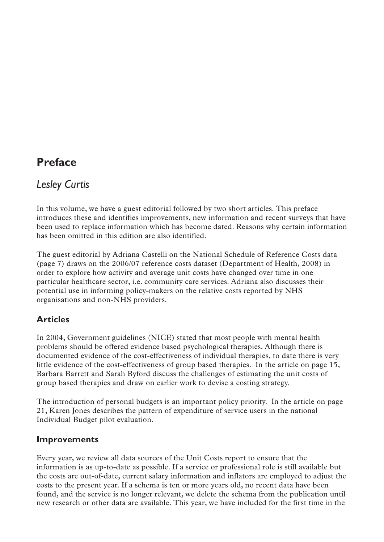# **Preface**

## *Lesley Curtis*

In this volume, we have a guest editorial followed by two short articles. This preface introduces these and identifies improvements, new information and recent surveys that have been used to replace information which has become dated. Reasons why certain information has been omitted in this edition are also identified.

The guest editorial by Adriana Castelli on the National Schedule of Reference Costs data (page 7) draws on the 2006/07 reference costs dataset (Department of Health, 2008) in order to explore how activity and average unit costs have changed over time in one particular healthcare sector, i.e. community care services. Adriana also discusses their potential use in informing policy-makers on the relative costs reported by NHS organisations and non-NHS providers.

## **Articles**

In 2004, Government guidelines (NICE) stated that most people with mental health problems should be offered evidence based psychological therapies. Although there is documented evidence of the cost-effectiveness of individual therapies, to date there is very little evidence of the cost-effectiveness of group based therapies. In the article on page 15, Barbara Barrett and Sarah Byford discuss the challenges of estimating the unit costs of group based therapies and draw on earlier work to devise a costing strategy.

The introduction of personal budgets is an important policy priority. In the article on page 21, Karen Jones describes the pattern of expenditure of service users in the national Individual Budget pilot evaluation.

### **Improvements**

Every year, we review all data sources of the Unit Costs report to ensure that the information is as up-to-date as possible. If a service or professional role is still available but the costs are out-of-date, current salary information and inflators are employed to adjust the costs to the present year. If a schema is ten or more years old, no recent data have been found, and the service is no longer relevant, we delete the schema from the publication until new research or other data are available. This year, we have included for the first time in the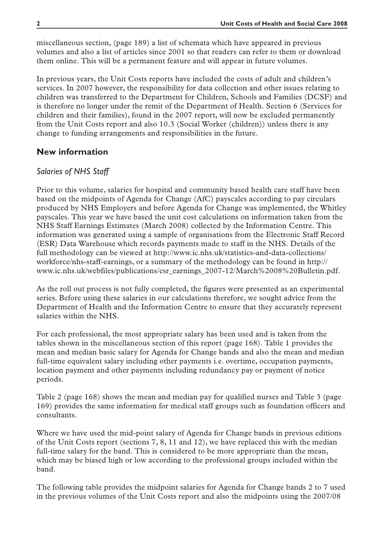miscellaneous section, (page 189) a list of schemata which have appeared in previous volumes and also a list of articles since 2001 so that readers can refer to them or download them online. This will be a permanent feature and will appear in future volumes.

In previous years, the Unit Costs reports have included the costs of adult and children's services. In 2007 however, the responsibility for data collection and other issues relating to children was transferred to the Department for Children, Schools and Families (DCSF) and is therefore no longer under the remit of the Department of Health. Section 6 (Services for children and their families), found in the 2007 report, will now be excluded permanently from the Unit Costs report and also 10.3 (Social Worker (children)) unless there is any change to funding arrangements and responsibilities in the future.

#### **New information**

#### *Salaries of NHS Staff*

Prior to this volume, salaries for hospital and community based health care staff have been based on the midpoints of Agenda for Change (AfC) payscales according to pay circulars produced by NHS Employers and before Agenda for Change was implemented, the Whitley payscales. This year we have based the unit cost calculations on information taken from the NHS Staff Earnings Estimates (March 2008) collected by the Information Centre. This information was generated using a sample of organisations from the Electronic Staff Record (ESR) Data Warehouse which records payments made to staff in the NHS. Details of the full methodology can be viewed at http://www.ic.nhs.uk/statistics-and-data-collections/ workforce/nhs-staff-earnings, or a summary of the methodology can be found in http:// www.ic.nhs.uk/webfiles/publications/esr\_earnings\_2007-12/March%2008%20Bulletin.pdf.

As the roll out process is not fully completed, the figures were presented as an experimental series. Before using these salaries in our calculations therefore, we sought advice from the Department of Health and the Information Centre to ensure that they accurately represent salaries within the NHS.

For each professional, the most appropriate salary has been used and is taken from the tables shown in the miscellaneous section of this report (page 168). Table 1 provides the mean and median basic salary for Agenda for Change bands and also the mean and median full-time equivalent salary including other payments i.e. overtime, occupation payments, location payment and other payments including redundancy pay or payment of notice periods.

Table 2 (page 168) shows the mean and median pay for qualified nurses and Table 3 (page 169) provides the same information for medical staff groups such as foundation officers and consultants.

Where we have used the mid-point salary of Agenda for Change bands in previous editions of the Unit Costs report (sections 7, 8, 11 and 12), we have replaced this with the median full-time salary for the band. This is considered to be more appropriate than the mean, which may be biased high or low according to the professional groups included within the band.

The following table provides the midpoint salaries for Agenda for Change bands 2 to 7 used in the previous volumes of the Unit Costs report and also the midpoints using the 2007/08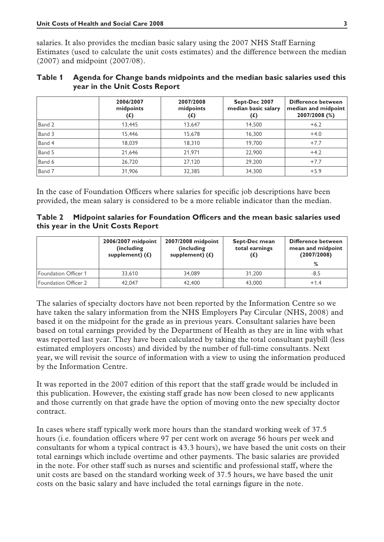salaries. It also provides the median basic salary using the 2007 NHS Staff Earning Estimates (used to calculate the unit costs estimates) and the difference between the median (2007) and midpoint (2007/08).

#### **Table 1 Agenda for Change bands midpoints and the median basic salaries used this year in the Unit Costs Report**

|        | 2006/2007<br>midpoints<br>(£) | 2007/2008<br>midpoints<br>$(f)$ | Sept-Dec 2007<br>median basic salary<br>(£) | <b>Difference between</b><br>median and midpoint<br>2007/2008 (%) |
|--------|-------------------------------|---------------------------------|---------------------------------------------|-------------------------------------------------------------------|
| Band 2 | 13.445                        | 13,647                          | 14.500                                      | $+6.2$                                                            |
| Band 3 | 15.446                        | 15.678                          | 16.300                                      | $+4.0$                                                            |
| Band 4 | 18.039                        | 18.310                          | 19,700                                      | $+7.7$                                                            |
| Band 5 | 21,646                        | 21.971                          | 22,900                                      | $+4.2$                                                            |
| Band 6 | 26.720                        | 27.120                          | 29,200                                      | $+7.7$                                                            |
| Band 7 | 31,906                        | 32,385                          | 34,300                                      | $+5.9$                                                            |

In the case of Foundation Officers where salaries for specific job descriptions have been provided, the mean salary is considered to be a more reliable indicator than the median.

**Table 2 Midpoint salaries for Foundation Officers and the mean basic salaries used this year in the Unit Costs Report**

|                      | 2006/2007 midpoint<br>(including)<br>supplement) $(f)$ | 2007/2008 midpoint<br>(including)<br>supplement) $(f)$ | Sept-Dec mean<br>total earnings<br>$(\mathbf{f})$ | <b>Difference between</b><br>mean and midpoint<br>(2007/2008)<br>% |
|----------------------|--------------------------------------------------------|--------------------------------------------------------|---------------------------------------------------|--------------------------------------------------------------------|
| Foundation Officer 1 | 33.610                                                 | 34.089                                                 | 31.200                                            | -8.5                                                               |
| Foundation Officer 2 | 42.047                                                 | 42.400                                                 | 43,000                                            | $+1.4$                                                             |

The salaries of specialty doctors have not been reported by the Information Centre so we have taken the salary information from the NHS Employers Pay Circular (NHS, 2008) and based it on the midpoint for the grade as in previous years. Consultant salaries have been based on total earnings provided by the Department of Health as they are in line with what was reported last year. They have been calculated by taking the total consultant paybill (less estimated employers oncosts) and divided by the number of full-time consultants. Next year, we will revisit the source of information with a view to using the information produced by the Information Centre.

It was reported in the 2007 edition of this report that the staff grade would be included in this publication. However, the existing staff grade has now been closed to new applicants and those currently on that grade have the option of moving onto the new specialty doctor contract.

In cases where staff typically work more hours than the standard working week of 37.5 hours (i.e. foundation officers where 97 per cent work on average 56 hours per week and consultants for whom a typical contract is 43.3 hours), we have based the unit costs on their total earnings which include overtime and other payments. The basic salaries are provided in the note. For other staff such as nurses and scientific and professional staff, where the unit costs are based on the standard working week of 37.5 hours, we have based the unit costs on the basic salary and have included the total earnings figure in the note.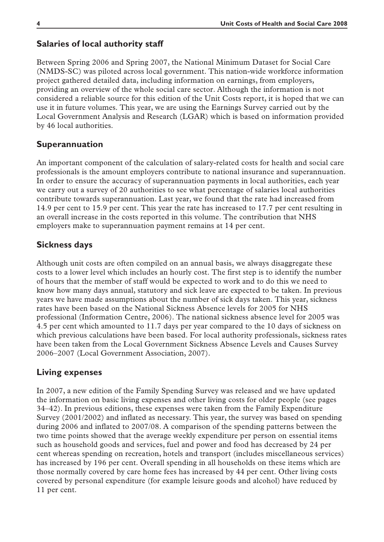### **Salaries of local authority staff**

Between Spring 2006 and Spring 2007, the National Minimum Dataset for Social Care (NMDS-SC) was piloted across local government. This nation-wide workforce information project gathered detailed data, including information on earnings, from employers, providing an overview of the whole social care sector. Although the information is not considered a reliable source for this edition of the Unit Costs report, it is hoped that we can use it in future volumes. This year, we are using the Earnings Survey carried out by the Local Government Analysis and Research (LGAR) which is based on information provided by 46 local authorities.

### **Superannuation**

An important component of the calculation of salary-related costs for health and social care professionals is the amount employers contribute to national insurance and superannuation. In order to ensure the accuracy of superannuation payments in local authorities, each year we carry out a survey of 20 authorities to see what percentage of salaries local authorities contribute towards superannuation. Last year, we found that the rate had increased from 14.9 per cent to 15.9 per cent. This year the rate has increased to 17.7 per cent resulting in an overall increase in the costs reported in this volume. The contribution that NHS employers make to superannuation payment remains at 14 per cent.

### **Sickness days**

Although unit costs are often compiled on an annual basis, we always disaggregate these costs to a lower level which includes an hourly cost. The first step is to identify the number of hours that the member of staff would be expected to work and to do this we need to know how many days annual, statutory and sick leave are expected to be taken. In previous years we have made assumptions about the number of sick days taken. This year, sickness rates have been based on the National Sickness Absence levels for 2005 for NHS professional (Information Centre, 2006). The national sickness absence level for 2005 was 4.5 per cent which amounted to 11.7 days per year compared to the 10 days of sickness on which previous calculations have been based. For local authority professionals, sickness rates have been taken from the Local Government Sickness Absence Levels and Causes Survey 2006–2007 (Local Government Association, 2007).

### **Living expenses**

In 2007, a new edition of the Family Spending Survey was released and we have updated the information on basic living expenses and other living costs for older people (see pages 34–42). In previous editions, these expenses were taken from the Family Expenditure Survey (2001/2002) and inflated as necessary. This year, the survey was based on spending during 2006 and inflated to 2007/08. A comparison of the spending patterns between the two time points showed that the average weekly expenditure per person on essential items such as household goods and services, fuel and power and food has decreased by 24 per cent whereas spending on recreation, hotels and transport (includes miscellaneous services) has increased by 196 per cent. Overall spending in all households on these items which are those normally covered by care home fees has increased by 44 per cent. Other living costs covered by personal expenditure (for example leisure goods and alcohol) have reduced by 11 per cent.